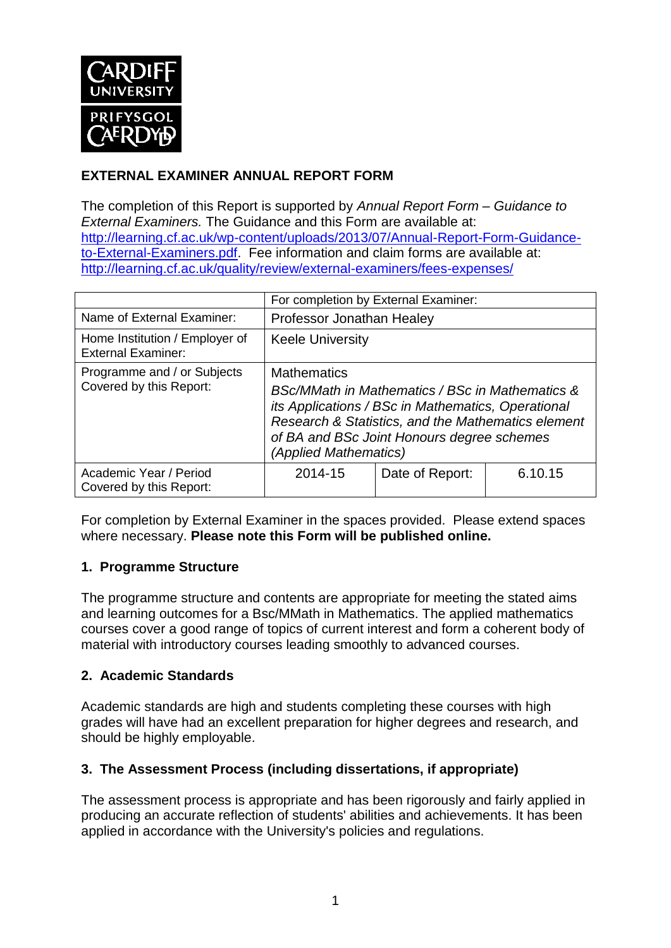

## **EXTERNAL EXAMINER ANNUAL REPORT FORM**

The completion of this Report is supported by *Annual Report Form – Guidance to External Examiners.* The Guidance and this Form are available at: [http://learning.cf.ac.uk/wp-content/uploads/2013/07/Annual-Report-Form-Guidance](http://learning.cf.ac.uk/wp-content/uploads/2013/07/Annual-Report-Form-Guidance-to-External-Examiners.pdf)[to-External-Examiners.pdf.](http://learning.cf.ac.uk/wp-content/uploads/2013/07/Annual-Report-Form-Guidance-to-External-Examiners.pdf) Fee information and claim forms are available at: <http://learning.cf.ac.uk/quality/review/external-examiners/fees-expenses/>

|                                                             | For completion by External Examiner:                                                                                                                                                                                                                     |                 |         |  |
|-------------------------------------------------------------|----------------------------------------------------------------------------------------------------------------------------------------------------------------------------------------------------------------------------------------------------------|-----------------|---------|--|
| Name of External Examiner:                                  | Professor Jonathan Healey                                                                                                                                                                                                                                |                 |         |  |
| Home Institution / Employer of<br><b>External Examiner:</b> | <b>Keele University</b>                                                                                                                                                                                                                                  |                 |         |  |
| Programme and / or Subjects<br>Covered by this Report:      | <b>Mathematics</b><br>BSc/MMath in Mathematics / BSc in Mathematics &<br>its Applications / BSc in Mathematics, Operational<br>Research & Statistics, and the Mathematics element<br>of BA and BSc Joint Honours degree schemes<br>(Applied Mathematics) |                 |         |  |
| Academic Year / Period<br>Covered by this Report:           | 2014-15                                                                                                                                                                                                                                                  | Date of Report: | 6.10.15 |  |

For completion by External Examiner in the spaces provided. Please extend spaces where necessary. **Please note this Form will be published online.**

### **1. Programme Structure**

The programme structure and contents are appropriate for meeting the stated aims and learning outcomes for a Bsc/MMath in Mathematics. The applied mathematics courses cover a good range of topics of current interest and form a coherent body of material with introductory courses leading smoothly to advanced courses.

#### **2. Academic Standards**

Academic standards are high and students completing these courses with high grades will have had an excellent preparation for higher degrees and research, and should be highly employable.

### **3. The Assessment Process (including dissertations, if appropriate)**

The assessment process is appropriate and has been rigorously and fairly applied in producing an accurate reflection of students' abilities and achievements. It has been applied in accordance with the University's policies and regulations.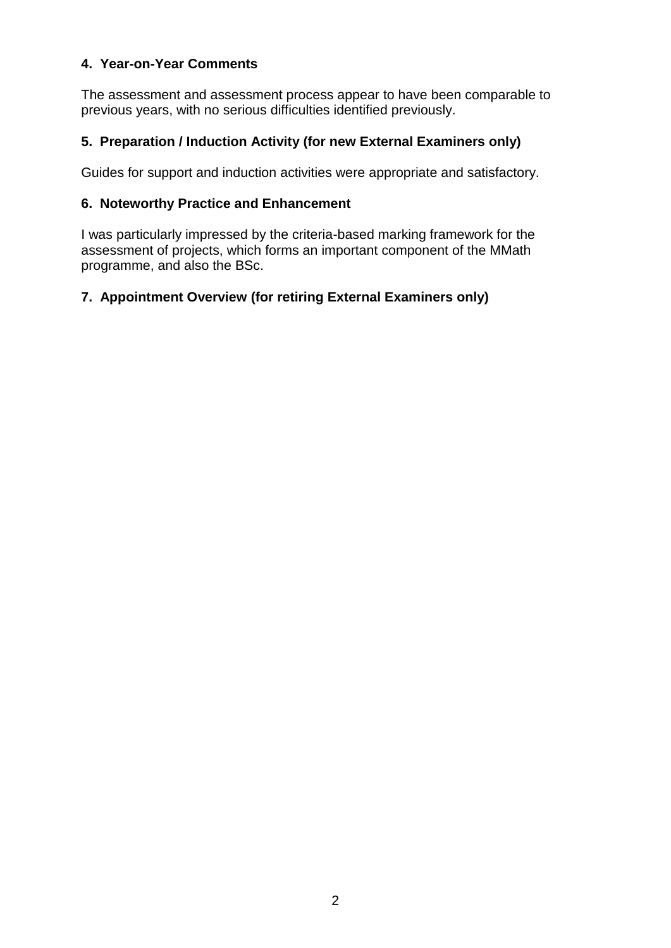#### **4. Year-on-Year Comments**

The assessment and assessment process appear to have been comparable to previous years, with no serious difficulties identified previously.

### **5. Preparation / Induction Activity (for new External Examiners only)**

Guides for support and induction activities were appropriate and satisfactory.

#### **6. Noteworthy Practice and Enhancement**

I was particularly impressed by the criteria-based marking framework for the assessment of projects, which forms an important component of the MMath programme, and also the BSc.

### **7. Appointment Overview (for retiring External Examiners only)**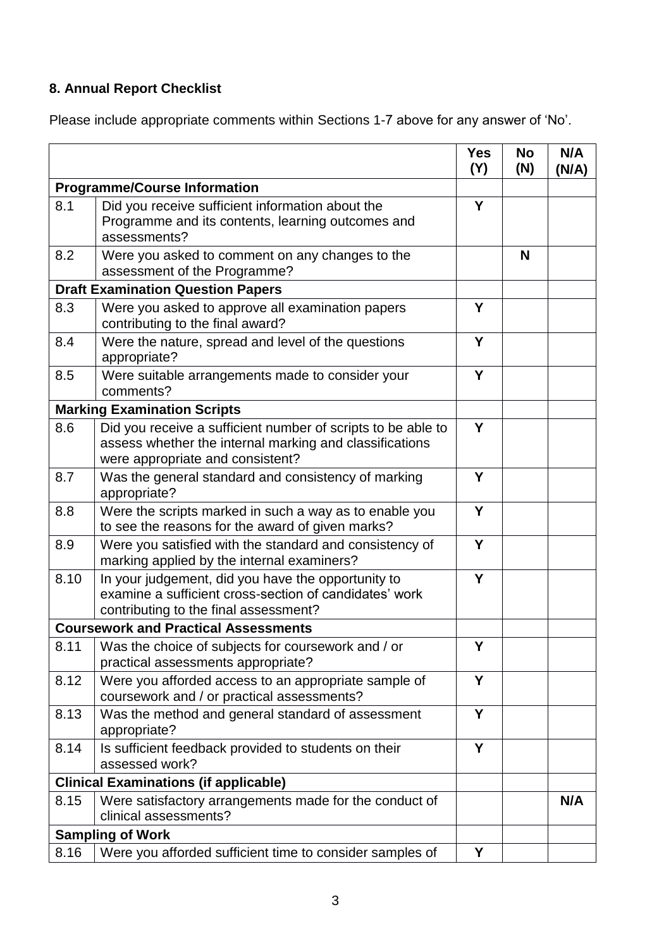# **8. Annual Report Checklist**

Please include appropriate comments within Sections 1-7 above for any answer of 'No'.

|                                              |                                                                                                                                                             | <b>Yes</b><br>(Y) | <b>No</b><br>(N) | N/A<br>(N/A) |
|----------------------------------------------|-------------------------------------------------------------------------------------------------------------------------------------------------------------|-------------------|------------------|--------------|
| <b>Programme/Course Information</b>          |                                                                                                                                                             |                   |                  |              |
| 8.1                                          | Did you receive sufficient information about the<br>Programme and its contents, learning outcomes and<br>assessments?                                       |                   |                  |              |
| 8.2                                          | Were you asked to comment on any changes to the<br>assessment of the Programme?                                                                             |                   | N                |              |
| <b>Draft Examination Question Papers</b>     |                                                                                                                                                             |                   |                  |              |
| 8.3                                          | Were you asked to approve all examination papers<br>contributing to the final award?                                                                        | Y                 |                  |              |
| 8.4                                          | Were the nature, spread and level of the questions<br>appropriate?                                                                                          | Y                 |                  |              |
| 8.5                                          | Were suitable arrangements made to consider your<br>comments?                                                                                               | Y                 |                  |              |
| <b>Marking Examination Scripts</b>           |                                                                                                                                                             |                   |                  |              |
| 8.6                                          | Did you receive a sufficient number of scripts to be able to<br>assess whether the internal marking and classifications<br>were appropriate and consistent? | Y                 |                  |              |
| 8.7                                          | Was the general standard and consistency of marking<br>appropriate?                                                                                         | Y                 |                  |              |
| 8.8                                          | Were the scripts marked in such a way as to enable you<br>to see the reasons for the award of given marks?                                                  | Y                 |                  |              |
| 8.9                                          | Were you satisfied with the standard and consistency of<br>marking applied by the internal examiners?                                                       | Y                 |                  |              |
| 8.10                                         | In your judgement, did you have the opportunity to<br>examine a sufficient cross-section of candidates' work<br>contributing to the final assessment?       | Y                 |                  |              |
| <b>Coursework and Practical Assessments</b>  |                                                                                                                                                             |                   |                  |              |
|                                              | 8.11   Was the choice of subjects for coursework and / or<br>practical assessments appropriate?                                                             | Y                 |                  |              |
| 8.12                                         | Were you afforded access to an appropriate sample of<br>coursework and / or practical assessments?                                                          | Y                 |                  |              |
| 8.13                                         | Was the method and general standard of assessment<br>appropriate?                                                                                           | Y                 |                  |              |
| 8.14                                         | Is sufficient feedback provided to students on their<br>assessed work?                                                                                      | Y                 |                  |              |
| <b>Clinical Examinations (if applicable)</b> |                                                                                                                                                             |                   |                  |              |
| 8.15                                         | Were satisfactory arrangements made for the conduct of<br>clinical assessments?                                                                             |                   |                  | N/A          |
| <b>Sampling of Work</b>                      |                                                                                                                                                             |                   |                  |              |
| 8.16                                         | Were you afforded sufficient time to consider samples of                                                                                                    | Y                 |                  |              |